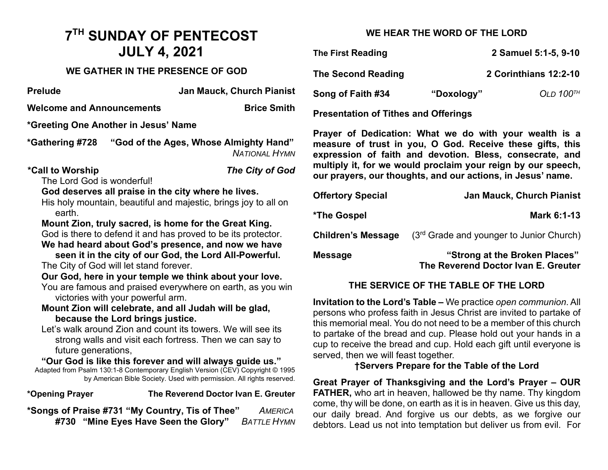# **7TH SUNDAY OF PENTECOST JULY 4, 2021**

#### **WE GATHER IN THE PRESENCE OF GOD**

| <b>Prelude</b>                                                                                                                                                                                                                                                        | <b>Jan Mauck, Church Pianist</b><br>S(                                                                                                                         |
|-----------------------------------------------------------------------------------------------------------------------------------------------------------------------------------------------------------------------------------------------------------------------|----------------------------------------------------------------------------------------------------------------------------------------------------------------|
| <b>Welcome and Announcements</b>                                                                                                                                                                                                                                      | <b>Brice Smith</b><br>P <sub>1</sub>                                                                                                                           |
| *Greeting One Another in Jesus' Name                                                                                                                                                                                                                                  |                                                                                                                                                                |
| *Gathering #728                                                                                                                                                                                                                                                       | P <sub>1</sub><br>"God of the Ages, Whose Almighty Hand"<br>m<br><b>NATIONAL HYMN</b><br>e <sub>z</sub>                                                        |
| *Call to Worship<br>The Lord God is wonderful!                                                                                                                                                                                                                        | m<br>The City of God<br>οı                                                                                                                                     |
| God deserves all praise in the city where he lives.<br>His holy mountain, beautiful and majestic, brings joy to all on                                                                                                                                                | O                                                                                                                                                              |
| earth.                                                                                                                                                                                                                                                                | $*$ T                                                                                                                                                          |
| Mount Zion, truly sacred, is home for the Great King.<br>God is there to defend it and has proved to be its protector.<br>We had heard about God's presence, and now we have                                                                                          | C <sub>1</sub>                                                                                                                                                 |
| The City of God will let stand forever.                                                                                                                                                                                                                               | M<br>seen it in the city of our God, the Lord All-Powerful.                                                                                                    |
| Our God, here in your temple we think about your love.<br>You are famous and praised everywhere on earth, as you win                                                                                                                                                  |                                                                                                                                                                |
| victories with your powerful arm.<br>Mount Zion will celebrate, and all Judah will be glad,                                                                                                                                                                           | In<br>pe                                                                                                                                                       |
| because the Lord brings justice.<br>Let's walk around Zion and count its towers. We will see its<br>future generations,<br>"Our God is like this forever and will always guide us."<br>Adapted from Psalm 130:1-8 Contemporary English Version (CEV) Copyright © 1995 | th<br>to<br>strong walls and visit each fortress. Then we can say to<br>CL<br>Se<br>by American Bible Society. Used with permission. All rights reserved.<br>G |
| *Opening Prayer                                                                                                                                                                                                                                                       | F<br>The Reverend Doctor Ivan E. Greuter                                                                                                                       |
| *Songs of Praise #731 "My Country, Tis of Thee"                                                                                                                                                                                                                       | CC<br>AMERICA<br>ΩL                                                                                                                                            |

**#730 "Mine Eyes Have Seen the Glory"** *BATTLE HYMN*

### **WE HEAR THE WORD OF THE LORD**

| <b>The First Reading</b>                    |            | 2 Samuel 5:1-5, 9-10    |
|---------------------------------------------|------------|-------------------------|
| <b>The Second Reading</b>                   |            | 2 Corinthians 12:2-10   |
| Song of Faith #34                           | "Doxology" | OLD $100$ <sup>TH</sup> |
| <b>Presentation of Tithes and Offerings</b> |            |                         |

**Prayer of Dedication: What we do with your wealth is a measure of trust in you, O God. Receive these gifts, this expression of faith and devotion. Bless, consecrate, and multiply it, for we would proclaim your reign by our speech, our prayers, our thoughts, and our actions, in Jesus' name.** 

| <b>Offertory Special</b>  | <b>Jan Mauck, Church Pianist</b>                                     |
|---------------------------|----------------------------------------------------------------------|
| *The Gospel               | Mark 6:1-13                                                          |
| <b>Children's Message</b> | $(3rd$ Grade and younger to Junior Church)                           |
| Message                   | "Strong at the Broken Places"<br>The Reverend Doctor Ivan E. Greuter |

# **THE SERVICE OF THE TABLE OF THE LORD**

**Invitation to the Lord's Table –** We practice *open communion*. All ersons who profess faith in Jesus Christ are invited to partake of is memorial meal. You do not need to be a member of this church partake of the bread and cup. Please hold out your hands in a up to receive the bread and cup. Hold each gift until everyone is erved, then we will feast together.

#### **†Servers Prepare for the Table of the Lord**

**Great Prayer of Thanksgiving and the Lord's Prayer – OUR FATHER,** who art in heaven, hallowed be thy name. Thy kingdom ome, thy will be done, on earth as it is in heaven. Give us this day, our daily bread. And forgive us our debts, as we forgive our debtors. Lead us not into temptation but deliver us from evil. For